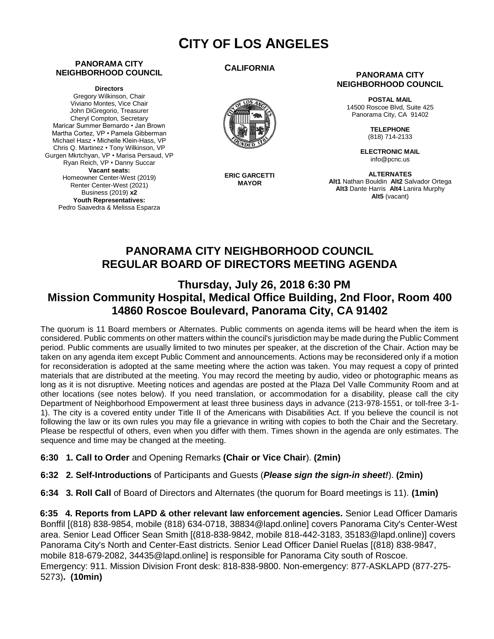# **CITY OF LOS ANGELES**

#### **PANORAMA CITY NEIGHBORHOOD COUNCIL**

**Directors**

Gregory Wilkinson, Chair Viviano Montes, Vice Chair John DiGregorio, Treasurer Cheryl Compton, Secretary Maricar Summer Bernardo • Jan Brown Martha Cortez, VP • Pamela Gibberman Michael Hasz • Michelle Klein-Hass, VP Chris Q. Martinez • Tony Wilkinson, VP Gurgen Mkrtchyan, VP • Marisa Persaud, VP Ryan Reich, VP • Danny Succar **Vacant seats:**  Homeowner Center-West (2019) Renter Center-West (2021) Business (2019) **x2 Youth Representatives:**  Pedro Saavedra & Melissa Esparza

#### **CALIFORNIA**



**ERIC GARCETTI MAYOR**

#### **PANORAMA CITY NEIGHBORHOOD COUNCIL**

**POSTAL MAIL** 14500 Roscoe Blvd, Suite 425 Panorama City, CA 91402

> **TELEPHONE** (818) 714-2133

**ELECTRONIC MAIL** info@pcnc.us

**ALTERNATES Alt1** Nathan Bouldin **Alt2** Salvador Ortega **Alt3** Dante Harris **Alt4** Lanira Murphy **Alt5** (vacant)

## **PANORAMA CITY NEIGHBORHOOD COUNCIL REGULAR BOARD OF DIRECTORS MEETING AGENDA**

## **Thursday, July 26, 2018 6:30 PM Mission Community Hospital, Medical Office Building, 2nd Floor, Room 400 14860 Roscoe Boulevard, Panorama City, CA 91402**

The quorum is 11 Board members or Alternates. Public comments on agenda items will be heard when the item is considered. Public comments on other matters within the council's jurisdiction may be made during the Public Comment period. Public comments are usually limited to two minutes per speaker, at the discretion of the Chair. Action may be taken on any agenda item except Public Comment and announcements. Actions may be reconsidered only if a motion for reconsideration is adopted at the same meeting where the action was taken. You may request a copy of printed materials that are distributed at the meeting. You may record the meeting by audio, video or photographic means as long as it is not disruptive. Meeting notices and agendas are posted at the Plaza Del Valle Community Room and at other locations (see notes below). If you need translation, or accommodation for a disability, please call the city Department of Neighborhood Empowerment at least three business days in advance (213-978-1551, or toll-free 3-1- 1). The city is a covered entity under Title II of the Americans with Disabilities Act. If you believe the council is not following the law or its own rules you may file a grievance in writing with copies to both the Chair and the Secretary. Please be respectful of others, even when you differ with them. Times shown in the agenda are only estimates. The sequence and time may be changed at the meeting.

- **6:30 1. Call to Order** and Opening Remarks **(Chair or Vice Chair**). **(2min)**
- **6:32 2. Self-Introductions** of Participants and Guests (*Please sign the sign-in sheet!*). **(2min)**

**6:34 3. Roll Call** of Board of Directors and Alternates (the quorum for Board meetings is 11). **(1min)**

**6:35 4. Reports from LAPD & other relevant law enforcement agencies.** Senior Lead Officer Damaris Bonffil [(818) 838-9854, mobile (818) 634-0718, 38834@lapd.online] covers Panorama City's Center-West area. Senior Lead Officer Sean Smith [(818-838-9842, mobile 818-442-3183, 35183@lapd.online)] covers Panorama City's North and Center-East districts. Senior Lead Officer Daniel Ruelas [(818) 838-9847, mobile 818-679-2082, 34435@lapd.online] is responsible for Panorama City south of Roscoe. Emergency: 911. Mission Division Front desk: 818-838-9800. Non-emergency: 877-ASKLAPD (877-275- 5273)**. (10min)**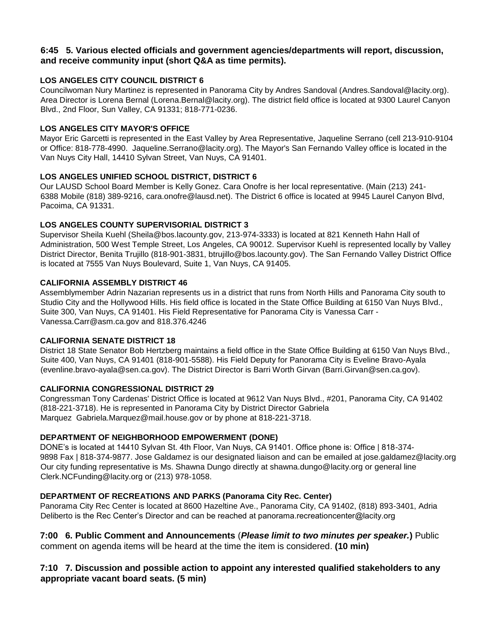#### **6:45 5. Various elected officials and government agencies/departments will report, discussion, and receive community input (short Q&A as time permits).**

#### **LOS ANGELES CITY COUNCIL DISTRICT 6**

Councilwoman Nury Martinez is represented in Panorama City by Andres Sandoval (Andres. Sandoval@lacity.org). Area Director is Lorena Bernal (Lorena.Bernal@lacity.org). The district field office is located at 9300 Laurel Canyon Blvd., 2nd Floor, Sun Valley, CA 91331; 818-771-0236.

#### **LOS ANGELES CITY MAYOR'S OFFICE**

Mayor Eric Garcetti is represented in the East Valley by Area Representative, Jaqueline Serrano (cell 213-910-9104 or Office: 818-778-4990. Jaqueline.Serrano@lacity.org). The Mayor's San Fernando Valley office is located in the Van Nuys City Hall, 14410 Sylvan Street, Van Nuys, CA 91401.

#### **LOS ANGELES UNIFIED SCHOOL DISTRICT, DISTRICT 6**

Our LAUSD School Board Member is Kelly Gonez. Cara Onofre is her local representative. (Main (213) 241- 6388 Mobile (818) 389-9216, cara.onofre@lausd.net). The District 6 office is located at 9945 Laurel Canyon Blvd, Pacoima, CA 91331.

#### **LOS ANGELES COUNTY SUPERVISORIAL DISTRICT 3**

Supervisor Sheila Kuehl (Sheila@bos.lacounty.gov, 213-974-3333) is located at 821 Kenneth Hahn Hall of Administration, 500 West Temple Street, Los Angeles, CA 90012. Supervisor Kuehl is represented locally by Valley District Director, Benita Trujillo (818-901-3831, btrujillo@bos.lacounty.gov). The San Fernando Valley District Office is located at 7555 Van Nuys Boulevard, Suite 1, Van Nuys, CA 91405.

#### **CALIFORNIA ASSEMBLY DISTRICT 46**

Assemblymember Adrin Nazarian represents us in a district that runs from North Hills and Panorama City south to Studio City and the Hollywood Hills. His field office is located in the State Office Building at 6150 Van Nuys Blvd., Suite 300, Van Nuys, CA 91401. His Field Representative for Panorama City is Vanessa Carr - Vanessa.Carr@asm.ca.gov and 818.376.4246

#### **CALIFORNIA SENATE DISTRICT 18**

District 18 State Senator Bob Hertzberg maintains a field office in the State Office Building at 6150 Van Nuys Blvd., Suite 400, Van Nuys, CA 91401 (818-901-5588). His Field Deputy for Panorama City is Eveline Bravo-Ayala (evenline.bravo-ayala@sen.ca.gov). The District Director is Barri Worth Girvan (Barri.Girvan@sen.ca.gov).

### **CALIFORNIA CONGRESSIONAL DISTRICT 29**

Congressman Tony Cardenas' District Office is located at 9612 Van Nuys Blvd., #201, Panorama City, CA 91402 (818-221-3718). He is represented in Panorama City by District Director Gabriela Marquez Gabriela.Marquez@mail.house.gov or by phone at 818-221-3718.

### **DEPARTMENT OF NEIGHBORHOOD EMPOWERMENT (DONE)**

DONE's is located at 14410 Sylvan St. 4th Floor, Van Nuys, CA 91401. Office phone is: Office | 818-374- 9898 Fax | 818-374-9877. Jose Galdamez is our designated liaison and can be emailed at jose.galdamez@lacity.org Our city funding representative is Ms. Shawna Dungo directly at shawna.dungo@lacity.org or general line Clerk.NCFunding@lacity.org or (213) 978-1058.

### **DEPARTMENT OF RECREATIONS AND PARKS (Panorama City Rec. Center)**

Panorama City Rec Center is located at 8600 Hazeltine Ave., Panorama City, CA 91402, (818) 893-3401, Adria Deliberto is the Rec Center's Director and can be reached at panorama.recreationcenter@lacity.org

# **7:00 6. Public Comment and Announcements** (*Please limit to two minutes per speaker.***)** Public

comment on agenda items will be heard at the time the item is considered. **(10 min)**

### **7:10 7. Discussion and possible action to appoint any interested qualified stakeholders to any appropriate vacant board seats. (5 min)**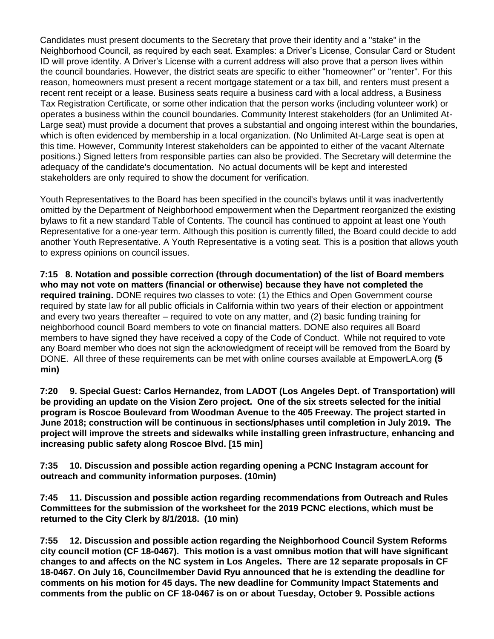Candidates must present documents to the Secretary that prove their identity and a "stake" in the Neighborhood Council, as required by each seat. Examples: a Driver's License, Consular Card or Student ID will prove identity. A Driver's License with a current address will also prove that a person lives within the council boundaries. However, the district seats are specific to either "homeowner" or "renter". For this reason, homeowners must present a recent mortgage statement or a tax bill, and renters must present a recent rent receipt or a lease. Business seats require a business card with a local address, a Business Tax Registration Certificate, or some other indication that the person works (including volunteer work) or operates a business within the council boundaries. Community Interest stakeholders (for an Unlimited At-Large seat) must provide a document that proves a substantial and ongoing interest within the boundaries, which is often evidenced by membership in a local organization. (No Unlimited At-Large seat is open at this time. However, Community Interest stakeholders can be appointed to either of the vacant Alternate positions.) Signed letters from responsible parties can also be provided. The Secretary will determine the adequacy of the candidate's documentation. No actual documents will be kept and interested stakeholders are only required to show the document for verification.

Youth Representatives to the Board has been specified in the council's bylaws until it was inadvertently omitted by the Department of Neighborhood empowerment when the Department reorganized the existing bylaws to fit a new standard Table of Contents. The council has continued to appoint at least one Youth Representative for a one-year term. Although this position is currently filled, the Board could decide to add another Youth Representative. A Youth Representative is a voting seat. This is a position that allows youth to express opinions on council issues.

**7:15 8. Notation and possible correction (through documentation) of the list of Board members who may not vote on matters (financial or otherwise) because they have not completed the required training.** DONE requires two classes to vote: (1) the Ethics and Open Government course required by state law for all public officials in California within two years of their election or appointment and every two years thereafter – required to vote on any matter, and (2) basic funding training for neighborhood council Board members to vote on financial matters. DONE also requires all Board members to have signed they have received a copy of the Code of Conduct. While not required to vote any Board member who does not sign the acknowledgment of receipt will be removed from the Board by DONE. All three of these requirements can be met with online courses available at EmpowerLA.org **(5 min)** 

**7:20 9. Special Guest: Carlos Hernandez, from LADOT (Los Angeles Dept. of Transportation) will be providing an update on the Vision Zero project. One of the six streets selected for the initial program is Roscoe Boulevard from Woodman Avenue to the 405 Freeway. The project started in June 2018; construction will be continuous in sections/phases until completion in July 2019. The project will improve the streets and sidewalks while installing green infrastructure, enhancing and increasing public safety along Roscoe Blvd. [15 min]**

**7:35 10. Discussion and possible action regarding opening a PCNC Instagram account for outreach and community information purposes. (10min)**

**7:45 11. Discussion and possible action regarding recommendations from Outreach and Rules Committees for the submission of the worksheet for the 2019 PCNC elections, which must be returned to the City Clerk by 8/1/2018. (10 min)**

**7:55 12. Discussion and possible action regarding the Neighborhood Council System Reforms city council motion (CF 18-0467). This motion is a vast omnibus motion that will have significant changes to and affects on the NC system in Los Angeles. There are 12 separate proposals in CF 18-0467. On July 16, Councilmember David Ryu announced that he is extending the deadline for comments on his motion for 45 days. The new deadline for Community Impact Statements and comments from the public on CF 18-0467 is on or about Tuesday, October 9. Possible actions**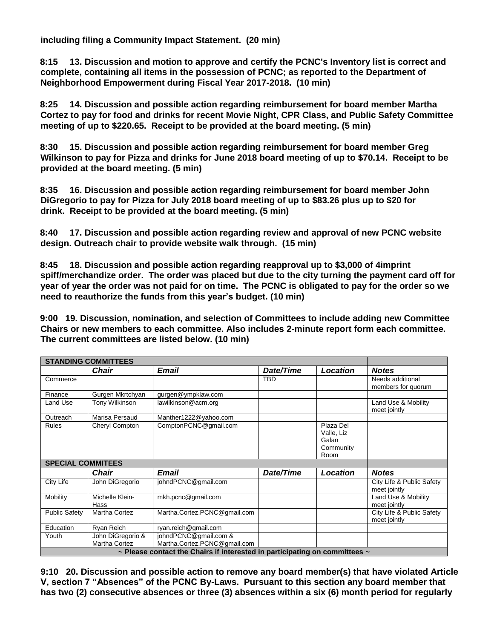**including filing a Community Impact Statement. (20 min)**

**8:15 13. Discussion and motion to approve and certify the PCNC's Inventory list is correct and complete, containing all items in the possession of PCNC; as reported to the Department of Neighborhood Empowerment during Fiscal Year 2017-2018. (10 min)**

**8:25 14. Discussion and possible action regarding reimbursement for board member Martha Cortez to pay for food and drinks for recent Movie Night, CPR Class, and Public Safety Committee meeting of up to \$220.65. Receipt to be provided at the board meeting. (5 min)**

**8:30 15. Discussion and possible action regarding reimbursement for board member Greg Wilkinson to pay for Pizza and drinks for June 2018 board meeting of up to \$70.14. Receipt to be provided at the board meeting. (5 min)**

**8:35 16. Discussion and possible action regarding reimbursement for board member John DiGregorio to pay for Pizza for July 2018 board meeting of up to \$83.26 plus up to \$20 for drink. Receipt to be provided at the board meeting. (5 min)**

**8:40 17. Discussion and possible action regarding review and approval of new PCNC website design. Outreach chair to provide website walk through. (15 min)**

**8:45 18. Discussion and possible action regarding reapproval up to \$3,000 of 4imprint spiff/merchandize order. The order was placed but due to the city turning the payment card off for year of year the order was not paid for on time. The PCNC is obligated to pay for the order so we need to reauthorize the funds from this year's budget. (10 min)**

**9:00 19. Discussion, nomination, and selection of Committees to include adding new Committee Chairs or new members to each committee. Also includes 2-minute report form each committee. The current committees are listed below. (10 min)** 

| <b>STANDING COMMITTEES</b>                                                           |                                    |                                                       |           |                                                       |                                           |
|--------------------------------------------------------------------------------------|------------------------------------|-------------------------------------------------------|-----------|-------------------------------------------------------|-------------------------------------------|
|                                                                                      | <b>Chair</b>                       | <b>Email</b>                                          | Date/Time | Location                                              | <b>Notes</b>                              |
| Commerce                                                                             |                                    |                                                       | TBD       |                                                       | Needs additional<br>members for quorum    |
| Finance                                                                              | Gurgen Mkrtchyan                   | gurgen@ympklaw.com                                    |           |                                                       |                                           |
| Land Use                                                                             | <b>Tony Wilkinson</b>              | lawilkinson@acm.org                                   |           |                                                       | Land Use & Mobility<br>meet jointly       |
| Outreach                                                                             | Marisa Persaud                     | Manther1222@yahoo.com                                 |           |                                                       |                                           |
| <b>Rules</b>                                                                         | Cheryl Compton                     | ComptonPCNC@gmail.com                                 |           | Plaza Del<br>Valle, Liz<br>Galan<br>Community<br>Room |                                           |
| <b>SPECIAL COMMITEES</b>                                                             |                                    |                                                       |           |                                                       |                                           |
|                                                                                      | Chair                              | Email                                                 | Date/Time | Location                                              | <b>Notes</b>                              |
| City Life                                                                            | John DiGregorio                    | johndPCNC@gmail.com                                   |           |                                                       | City Life & Public Safety<br>meet jointly |
| Mobility                                                                             | Michelle Klein-<br>Hass            | mkh.pcnc@gmail.com                                    |           |                                                       | Land Use & Mobility<br>meet jointly       |
| <b>Public Safety</b>                                                                 | Martha Cortez                      | Martha.Cortez.PCNC@gmail.com                          |           |                                                       | City Life & Public Safety<br>meet jointly |
| Education                                                                            | Ryan Reich                         | ryan.reich@gmail.com                                  |           |                                                       |                                           |
| Youth                                                                                | John DiGregorio &<br>Martha Cortez | johndPCNC@qmail.com &<br>Martha.Cortez.PCNC@gmail.com |           |                                                       |                                           |
| $\sim$ Please contact the Chairs if interested in participating on committees $\sim$ |                                    |                                                       |           |                                                       |                                           |

**9:10 20. Discussion and possible action to remove any board member(s) that have violated Article V, section 7 "Absences" of the PCNC By-Laws. Pursuant to this section any board member that has two (2) consecutive absences or three (3) absences within a six (6) month period for regularly**